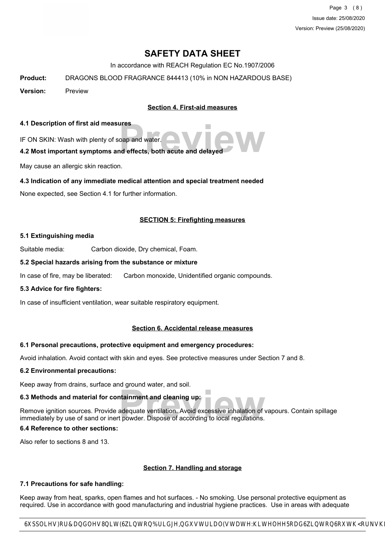Page 3 (8) Issue date: 25/08/2020 Version: Preview (25/08/2020)

# **SAFETY DATA SHEET**

In accordance with REACH Regulation EC No.1907/2006

**Product:** DRAGONS BLOOD FRAGRANCE 844413 (10% in NON HAZARDOUS BASE)

**Version:** Preview

**Section 4. First-aid measures**

#### **4.1 Description of first aid measures**

IF ON SKIN: Wash with plenty of soap and water.

# pape and water.<br> **Previous and effects, both acute and delayed 4.2 Most important symptoms and effects, both acute and delayed**

May cause an allergic skin reaction.

#### **4.3 Indication of any immediate medical attention and special treatment needed**

None expected, see Section 4.1 for further information.

#### **SECTION 5: Firefighting measures**

#### **5.1 Extinguishing media**

Suitable media: Carbon dioxide, Dry chemical, Foam.

#### **5.2 Special hazards arising from the substance or mixture**

In case of fire, may be liberated: Carbon monoxide, Unidentified organic compounds.

#### **5.3 Advice for fire fighters:**

In case of insufficient ventilation, wear suitable respiratory equipment.

#### **Section 6. Accidental release measures**

#### **6.1 Personal precautions, protective equipment and emergency procedures:**

Avoid inhalation. Avoid contact with skin and eyes. See protective measures under Section 7 and 8.

#### **6.2 Environmental precautions:**

Keep away from drains, surface and ground water, and soil.

# **6.3 Methods and material for containment and cleaning up:**

**Example 15**<br> **Previolence According to the Security Security Security Security Security Security Security Security Security**<br> **Provider** Suppose of according to local regulations. Remove ignition sources. Provide adequate ventilation. Avoid excessive inhalation of vapours. Contain spillage immediately by use of sand or inert powder. Dispose of according to local regulations.

#### **6.4 Reference to other sections:**

Also refer to sections 8 and 13.

# **Section 7. Handling and storage**

#### **7.1 Precautions for safe handling:**

Keep away from heat, sparks, open flames and hot surfaces. - No smoking. Use personal protective equipment as required. Use in accordance with good manufacturing and industrial hygiene practices. Use in areas with adequate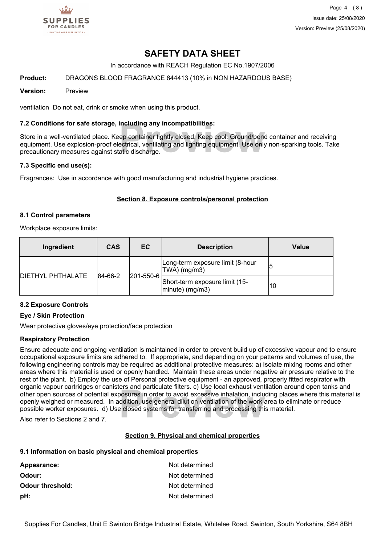

Page 4 (8) Issue date: 25/08/2020 Version: Preview (25/08/2020)

# **SAFETY DATA SHEET**

In accordance with REACH Regulation EC No.1907/2006

#### **Product:** DRAGONS BLOOD FRAGRANCE 844413 (10% in NON HAZARDOUS BASE)

#### **Version:** Preview

ventilation Do not eat, drink or smoke when using this product.

#### **7.2 Conditions for safe storage, including any incompatibilities:**

**Including any incompatibilities:**<br>ep container tightly closed. Keep cool. Ground/bone<br>ectrical, ventilating and lighting equipment. Use only<br>atic discharge. Store in a well-ventilated place. Keep container tightly closed. Keep cool. Ground/bond container and receiving equipment. Use explosion-proof electrical, ventilating and lighting equipment. Use only non-sparking tools. Take precautionary measures against static discharge.

#### **7.3 Specific end use(s):**

Fragrances: Use in accordance with good manufacturing and industrial hygiene practices.

#### **Section 8. Exposure controls/personal protection**

#### **8.1 Control parameters**

Workplace exposure limits:

| Ingredient                | <b>CAS</b> | EC        | <b>Description</b>                                    | Value |
|---------------------------|------------|-----------|-------------------------------------------------------|-------|
| <b>IDIETHYL PHTHALATE</b> | 84-66-2    | 201-550-6 | Long-term exposure limit (8-hour<br>TWA) (mg/m3)      | 15    |
|                           |            |           | Short-term exposure limit (15-<br>$ $ minute) (mg/m3) | 10    |

#### **8.2 Exposure Controls**

#### **Eye / Skin Protection**

Wear protective gloves/eye protection/face protection

#### **Respiratory Protection**

**Provided Aristopher School of the World School School School School School School School School School School School School School School School School School School School School School School School School School School** Ensure adequate and ongoing ventilation is maintained in order to prevent build up of excessive vapour and to ensure occupational exposure limits are adhered to. If appropriate, and depending on your patterns and volumes of use, the following engineering controls may be required as additional protective measures: a) Isolate mixing rooms and other areas where this material is used or openly handled. Maintain these areas under negative air pressure relative to the rest of the plant. b) Employ the use of Personal protective equipment - an approved, properly fitted respirator with organic vapour cartridges or canisters and particulate filters. c) Use local exhaust ventilation around open tanks and other open sources of potential exposures in order to avoid excessive inhalation, including places where this material is openly weighed or measured. In addition, use general dilution ventilation of the work area to eliminate or reduce possible worker exposures. d) Use closed systems for transferring and processing this material.

Also refer to Sections 2 and 7.

#### **Section 9. Physical and chemical properties**

#### **9.1 Information on basic physical and chemical properties**

| Appearance:             | Not determined |
|-------------------------|----------------|
| Odour:                  | Not determined |
| <b>Odour threshold:</b> | Not determined |
| pH:                     | Not determined |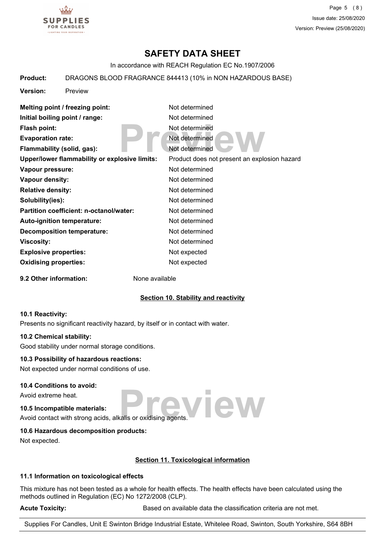

Page 5 (8) Issue date: 25/08/2020 Version: Preview (25/08/2020)

# **SAFETY DATA SHEET**

In accordance with REACH Regulation EC No.1907/2006

#### **Product:** DRAGONS BLOOD FRAGRANCE 844413 (10% in NON HAZARDOUS BASE)

**Version:** Preview

| Melting point / freezing point:               | Not determined                               |
|-----------------------------------------------|----------------------------------------------|
| Initial boiling point / range:                | Not determined                               |
| Flash point:                                  | Not determined                               |
| <b>Evaporation rate:</b>                      | Not determined                               |
| Flammability (solid, gas):                    | Not determined                               |
| Upper/lower flammability or explosive limits: | Product does not present an explosion hazard |
| Vapour pressure:                              | Not determined                               |
| Vapour density:                               | Not determined                               |
| <b>Relative density:</b>                      | Not determined                               |
| Solubility(ies):                              | Not determined                               |
| Partition coefficient: n-octanol/water:       | Not determined                               |
| <b>Auto-ignition temperature:</b>             | Not determined                               |
| <b>Decomposition temperature:</b>             | Not determined                               |
| Viscosity:                                    | Not determined                               |
| <b>Explosive properties:</b>                  | Not expected                                 |
| <b>Oxidising properties:</b>                  | Not expected                                 |
|                                               |                                              |

**9.2 Other information:** None available

#### **Section 10. Stability and reactivity**

#### **10.1 Reactivity:**

Presents no significant reactivity hazard, by itself or in contact with water.

#### **10.2 Chemical stability:**

Good stability under normal storage conditions.

#### **10.3 Possibility of hazardous reactions:**

Not expected under normal conditions of use.

#### **10.4 Conditions to avoid:**

Avoid extreme heat.

# **10.5 Incompatible materials:**

**Preview** Avoid contact with strong acids, alkalis or oxidising agents.

#### **10.6 Hazardous decomposition products:**

Not expected.

#### **Section 11. Toxicological information**

#### **11.1 Information on toxicological effects**

This mixture has not been tested as a whole for health effects. The health effects have been calculated using the methods outlined in Regulation (EC) No 1272/2008 (CLP).

Acute Toxicity: **Acute Toxicity:** Based on available data the classification criteria are not met.

Supplies For Candles, Unit E Swinton Bridge Industrial Estate, Whitelee Road, Swinton, South Yorkshire, S64 8BH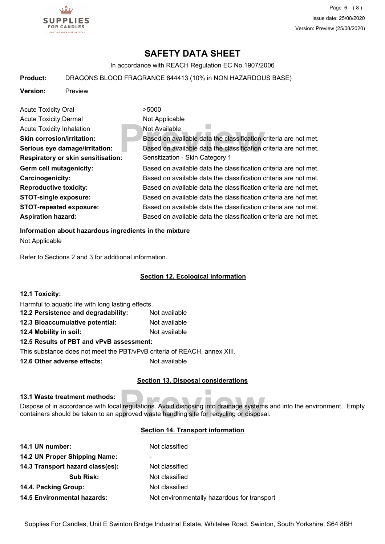

# **SAFETY DATA SHEET**

In accordance with REACH Regulation EC No.1907/2006

#### **Product:** DRAGONS BLOOD FRAGRANCE 844413 (10% in NON HAZARDOUS BASE)

**Version:** Preview

**Previously**<br> **Previously**<br> **Previously**<br> **Previously**<br> **Previously**<br> **Previously**<br> **Previously**<br> **Previously**<br> **Previously**<br> **Previously**<br> **Previously**<br> **Previously**<br> **Previously**<br> **Previously**<br> **Previously**<br> **Previously** Acute Toxicity Oral **2008** >5000 Acute Toxicity Dermal Not Applicable Acute Toxicity Inhalation Not Available **Skin corrosion/irritation:** Based on available data the classification criteria are not met. **Serious eye damage/irritation:** Based on available data the classification criteria are not met. **Respiratory or skin sensitisation:** Sensitization - Skin Category 1 Germ cell mutagenicity: **Based on available data the classification** criteria are not met. **Carcinogenicity:** Based on available data the classification criteria are not met. **Reproductive toxicity:** Based on available data the classification criteria are not met. **STOT-single exposure:** Based on available data the classification criteria are not met. **STOT-repeated exposure:** Based on available data the classification criteria are not met. Aspiration hazard: **Based on available data the classification criteria are not met.** 

#### **Information about hazardous ingredients in the mixture**

Not Applicable

Refer to Sections 2 and 3 for additional information.

#### **Section 12. Ecological information**

| <b>12.1 Toxicity:</b>                                                    |               |
|--------------------------------------------------------------------------|---------------|
| Harmful to aquatic life with long lasting effects.                       |               |
| 12.2 Persistence and degradability:                                      | Not available |
| 12.3 Bioaccumulative potential:                                          | Not available |
| 12.4 Mobility in soil:                                                   | Not available |
| 12.5 Results of PBT and vPvB assessment:                                 |               |
| This substance does not meet the PBT/vPvB criteria of REACH, annex XIII. |               |

**12.6 Other adverse effects:** Not available

#### **Section 13. Disposal considerations**

#### **13.1 Waste treatment methods:**

Il regulations. Avoid disposing into drainage systems<br>pproved waste handling site for recycling or disposa Dispose of in accordance with local regulations. Avoid disposing into drainage systems and into the environment. Empty containers should be taken to an approved waste handling site for recycling or disposal.

#### **Section 14. Transport information**

| 14.1 UN number:                    | Not classified                              |
|------------------------------------|---------------------------------------------|
| 14.2 UN Proper Shipping Name:      | ۰                                           |
| 14.3 Transport hazard class(es):   | Not classified                              |
| <b>Sub Risk:</b>                   | Not classified                              |
| 14.4. Packing Group:               | Not classified                              |
| <b>14.5 Environmental hazards:</b> | Not environmentally hazardous for transport |
|                                    |                                             |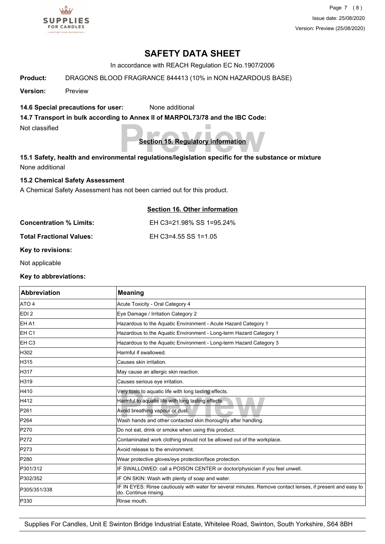

Page 7 (8) Issue date: 25/08/2020 Version: Preview (25/08/2020)

# **SAFETY DATA SHEET**

In accordance with REACH Regulation EC No.1907/2006

**Product:** DRAGONS BLOOD FRAGRANCE 844413 (10% in NON HAZARDOUS BASE)

**Version:** Preview

#### **14.6 Special precautions for user:** None additional

**14.7 Transport in bulk according to Annex II of MARPOL73/78 and the IBC Code:**

Not classified

**Section 15. Regulatory information**

**Preview of the Section 15. Regulatory information**<br>15.1 Safety, health and environmental regulations/legislation specific for the substance or mixture None additional

#### **15.2 Chemical Safety Assessment**

A Chemical Safety Assessment has not been carried out for this product.

|                          | Section 16. Other information |
|--------------------------|-------------------------------|
| Concentration % Limits:  | EH C3=21.98% SS 1=95.24%      |
| Total Fractional Values: | EH C3=4.55 SS 1=1.05          |

**Key to revisions:**

Not applicable

**Key to abbreviations:**

| <b>Abbreviation</b> | <b>Meaning</b>                                                                                                                     |
|---------------------|------------------------------------------------------------------------------------------------------------------------------------|
| ATO 4               | Acute Toxicity - Oral Category 4                                                                                                   |
| EDI <sub>2</sub>    | Eye Damage / Irritation Category 2                                                                                                 |
| EH A1               | Hazardous to the Aquatic Environment - Acute Hazard Category 1                                                                     |
| EH <sub>C1</sub>    | Hazardous to the Aquatic Environment - Long-term Hazard Category 1                                                                 |
| EH <sub>C3</sub>    | Hazardous to the Aquatic Environment - Long-term Hazard Category 3                                                                 |
| H302                | Harmful if swallowed.                                                                                                              |
| H315                | Causes skin irritation.                                                                                                            |
| H317                | May cause an allergic skin reaction.                                                                                               |
| H319                | Causes serious eye irritation.                                                                                                     |
| H410                | Very toxic to aquatic life with long lasting effects.                                                                              |
| H412                | Harmful to aquatic life with long lasting effects.                                                                                 |
| P261                | Avoid breathing vapour or dust.                                                                                                    |
| P264                | Wash hands and other contacted skin thoroughly after handling.                                                                     |
| P270                | Do not eat, drink or smoke when using this product.                                                                                |
| P272                | Contaminated work clothing should not be allowed out of the workplace.                                                             |
| P273                | Avoid release to the environment.                                                                                                  |
| P280                | Wear protective gloves/eye protection/face protection.                                                                             |
| P301/312            | IF SWALLOWED: call a POISON CENTER or doctor/physician if you feel unwell.                                                         |
| P302/352            | IF ON SKIN: Wash with plenty of soap and water.                                                                                    |
| P305/351/338        | IF IN EYES: Rinse cautiously with water for several minutes. Remove contact lenses, if present and easy to<br>do. Continue rinsing |
| P330                | Rinse mouth.                                                                                                                       |